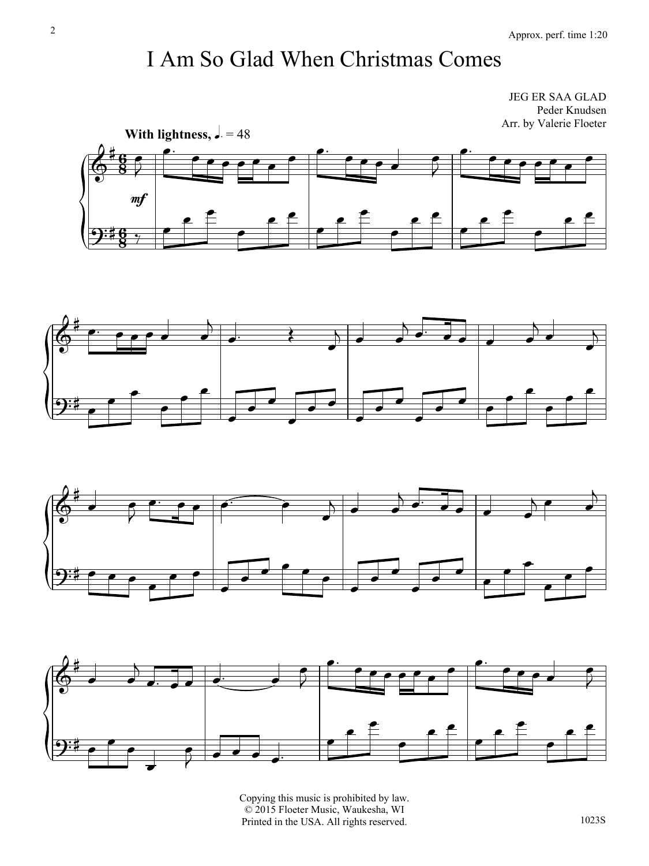## I Am So Glad When Christmas Comes

JEG ER SAA GLAD Peder Knudsen Arr. by Valerie Floeter









Copying this music is prohibited by law. © 2015 Floeter Music, Waukesha, WI Printed in the USA. All rights reserved.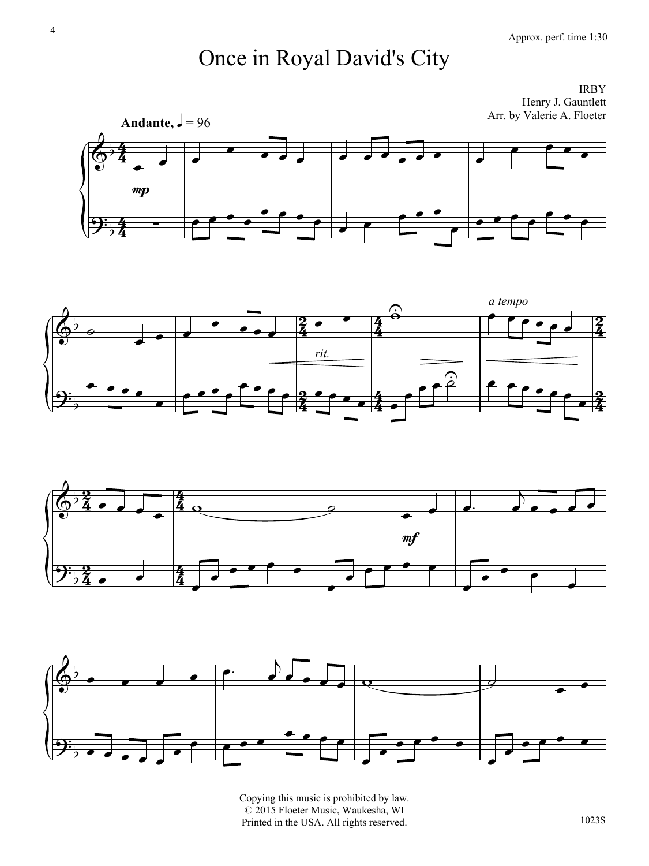## Once in Royal David's City

IRBY Henry J. Gauntlett Arr. by Valerie A. Floeter









Copying this music is prohibited by law. © 2015 Floeter Music, Waukesha, WI Printed in the USA. All rights reserved.